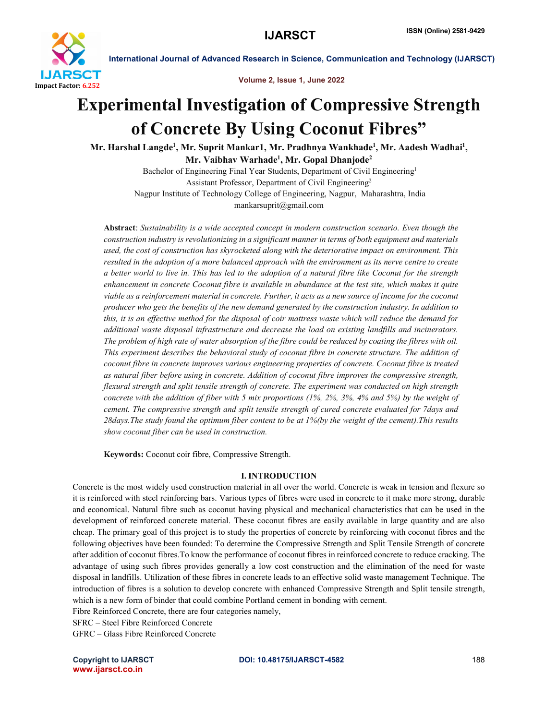

Volume 2, Issue 1, June 2022

## Experimental Investigation of Compressive Strength of Concrete By Using Coconut Fibres"

Mr. Harshal Langde<sup>1</sup>, Mr. Suprit Mankar1, Mr. Pradhnya Wankhade<sup>1</sup>, Mr. Aadesh Wadhai<sup>1</sup>, Mr. Vaibhav Warhade<sup>1</sup>, Mr. Gopal Dhanjode<sup>2</sup>

Bachelor of Engineering Final Year Students, Department of Civil Engineering<sup>1</sup> Assistant Professor, Department of Civil Engineering2 Nagpur Institute of Technology College of Engineering, Nagpur, Maharashtra, India mankarsuprit@gmail.com

Abstract: *Sustainability is a wide accepted concept in modern construction scenario. Even though the construction industry is revolutionizing in a significant manner in terms of both equipment and materials used, the cost of construction has skyrocketed along with the deteriorative impact on environment. This resulted in the adoption of a more balanced approach with the environment as its nerve centre to create a better world to live in. This has led to the adoption of a natural fibre like Coconut for the strength enhancement in concrete Coconut fibre is available in abundance at the test site, which makes it quite viable as a reinforcement material in concrete. Further, it acts as a new source of income for the coconut producer who gets the benefits of the new demand generated by the construction industry. In addition to this, it is an effective method for the disposal of coir mattress waste which will reduce the demand for additional waste disposal infrastructure and decrease the load on existing landfills and incinerators. The problem of high rate of water absorption of the fibre could be reduced by coating the fibres with oil. This experiment describes the behavioral study of coconut fibre in concrete structure. The addition of coconut fibre in concrete improves various engineering properties of concrete. Coconut fibre is treated as natural fiber before using in concrete. Addition of coconut fibre improves the compressive strength, flexural strength and split tensile strength of concrete. The experiment was conducted on high strength concrete with the addition of fiber with 5 mix proportions (1%, 2%, 3%, 4% and 5%) by the weight of cement. The compressive strength and split tensile strength of cured concrete evaluated for 7days and 28days.The study found the optimum fiber content to be at 1%(by the weight of the cement).This results show coconut fiber can be used in construction.*

Keywords: Coconut coir fibre, Compressive Strength.

#### I. INTRODUCTION

Concrete is the most widely used construction material in all over the world. Concrete is weak in tension and flexure so it is reinforced with steel reinforcing bars. Various types of fibres were used in concrete to it make more strong, durable and economical. Natural fibre such as coconut having physical and mechanical characteristics that can be used in the development of reinforced concrete material. These coconut fibres are easily available in large quantity and are also cheap. The primary goal of this project is to study the properties of concrete by reinforcing with coconut fibres and the following objectives have been founded: To determine the Compressive Strength and Split Tensile Strength of concrete after addition of coconut fibres.To know the performance of coconut fibres in reinforced concrete to reduce cracking. The advantage of using such fibres provides generally a low cost construction and the elimination of the need for waste disposal in landfills. Utilization of these fibres in concrete leads to an effective solid waste management Technique. The introduction of fibres is a solution to develop concrete with enhanced Compressive Strength and Split tensile strength, which is a new form of binder that could combine Portland cement in bonding with cement.

Fibre Reinforced Concrete, there are four categories namely,

SFRC – Steel Fibre Reinforced Concrete

GFRC – Glass Fibre Reinforced Concrete

www.ijarsct.co.in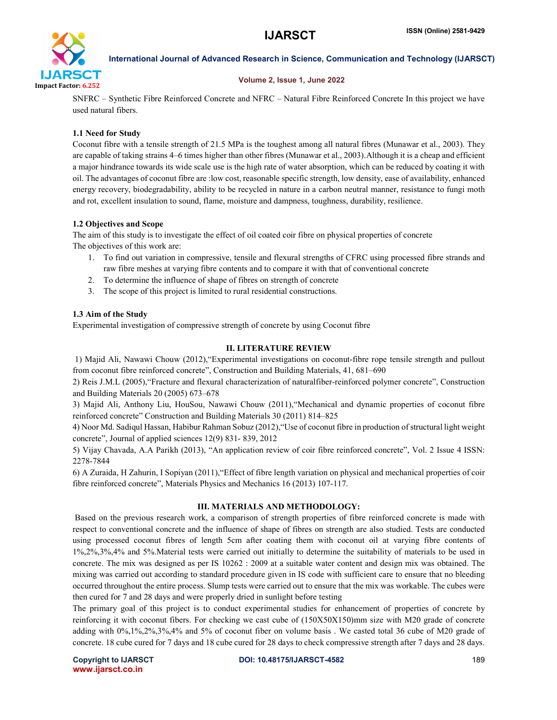

#### Volume 2, Issue 1, June 2022

SNFRC – Synthetic Fibre Reinforced Concrete and NFRC – Natural Fibre Reinforced Concrete In this project we have used natural fibers.

#### 1.1 Need for Study

Coconut fibre with a tensile strength of 21.5 MPa is the toughest among all natural fibres (Munawar et al., 2003). They are capable of taking strains 4–6 times higher than other fibres (Munawar et al., 2003).Although it is a cheap and efficient a major hindrance towards its wide scale use is the high rate of water absorption, which can be reduced by coating it with oil. The advantages of coconut fibre are :low cost, reasonable specific strength, low density, ease of availability, enhanced energy recovery, biodegradability, ability to be recycled in nature in a carbon neutral manner, resistance to fungi moth and rot, excellent insulation to sound, flame, moisture and dampness, toughness, durability, resilience.

#### 1.2 Objectives and Scope

The aim of this study is to investigate the effect of oil coated coir fibre on physical properties of concrete The objectives of this work are:

- 1. To find out variation in compressive, tensile and flexural strengths of CFRC using processed fibre strands and raw fibre meshes at varying fibre contents and to compare it with that of conventional concrete
- 2. To determine the influence of shape of fibres on strength of concrete
- 3. The scope of this project is limited to rural residential constructions.

#### 1.3 Aim of the Study

Experimental investigation of compressive strength of concrete by using Coconut fibre

#### II. LITERATURE REVIEW

1) Majid Ali, Nawawi Chouw (2012),"Experimental investigations on coconut-fibre rope tensile strength and pullout from coconut fibre reinforced concrete", Construction and Building Materials, 41, 681–690

2) Reis J.M.L (2005),"Fracture and flexural characterization of naturalfiber-reinforced polymer concrete", Construction and Building Materials 20 (2005) 673–678

3) Majid Ali, Anthony Liu, HouSou, Nawawi Chouw (2011),"Mechanical and dynamic properties of coconut fibre reinforced concrete" Construction and Building Materials 30 (2011) 814–825

4) Noor Md. Sadiqul Hassan, Habibur Rahman Sobuz (2012),"Use of coconut fibre in production of structural light weight concrete", Journal of applied sciences 12(9) 831- 839, 2012

5) Vijay Chavada, A.A Parikh (2013), "An application review of coir fibre reinforced concrete", Vol. 2 Issue 4 ISSN: 2278-7844

6) A Zuraida, H Zahurin, I Sopiyan (2011),"Effect of fibre length variation on physical and mechanical properties of coir fibre reinforced concrete", Materials Physics and Mechanics 16 (2013) 107-117.

#### III. MATERIALS AND METHODOLOGY:

Based on the previous research work, a comparison of strength properties of fibre reinforced concrete is made with respect to conventional concrete and the influence of shape of fibres on strength are also studied. Tests are conducted using processed coconut fibres of length 5cm after coating them with coconut oil at varying fibre contents of 1%,2%,3%,4% and 5%.Material tests were carried out initially to determine the suitability of materials to be used in concrete. The mix was designed as per IS 10262 : 2009 at a suitable water content and design mix was obtained. The mixing was carried out according to standard procedure given in IS code with sufficient care to ensure that no bleeding occurred throughout the entire process. Slump tests were carried out to ensure that the mix was workable. The cubes were then cured for 7 and 28 days and were properly dried in sunlight before testing

The primary goal of this project is to conduct experimental studies for enhancement of properties of concrete by reinforcing it with coconut fibers. For checking we cast cube of (150X50X150)mm size with M20 grade of concrete adding with 0%,1%,2%,3%,4% and 5% of coconut fiber on volume basis . We casted total 36 cube of M20 grade of concrete. 18 cube cured for 7 days and 18 cube cured for 28 days to check compressive strength after 7 days and 28 days.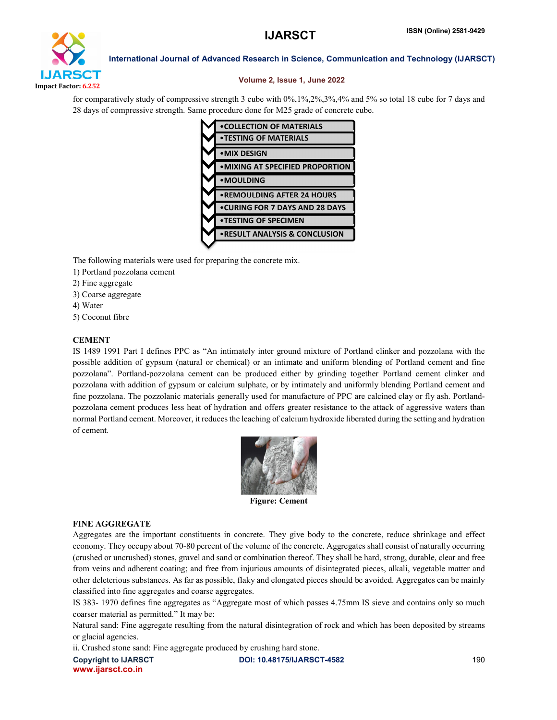# IJARSCT Impact Factor: 6.252

International Journal of Advanced Research in Science, Communication and Technology (IJARSCT)

#### Volume 2, Issue 1, June 2022

for comparatively study of compressive strength 3 cube with 0%,1%,2%,3%,4% and 5% so total 18 cube for 7 days and 28 days of compressive strength. Same procedure done for M25 grade of concrete cube.



The following materials were used for preparing the concrete mix.

- 1) Portland pozzolana cement
- 2) Fine aggregate
- 3) Coarse aggregate
- 4) Water
- 5) Coconut fibre

#### **CEMENT**

IS 1489 1991 Part I defines PPC as "An intimately inter ground mixture of Portland clinker and pozzolana with the possible addition of gypsum (natural or chemical) or an intimate and uniform blending of Portland cement and fine pozzolana". Portland-pozzolana cement can be produced either by grinding together Portland cement clinker and pozzolana with addition of gypsum or calcium sulphate, or by intimately and uniformly blending Portland cement and fine pozzolana. The pozzolanic materials generally used for manufacture of PPC are calcined clay or fly ash. Portlandpozzolana cement produces less heat of hydration and offers greater resistance to the attack of aggressive waters than normal Portland cement. Moreover, it reduces the leaching of calcium hydroxide liberated during the setting and hydration of cement.



#### FINE AGGREGATE

Aggregates are the important constituents in concrete. They give body to the concrete, reduce shrinkage and effect economy. They occupy about 70-80 percent of the volume of the concrete. Aggregates shall consist of naturally occurring (crushed or uncrushed) stones, gravel and sand or combination thereof. They shall be hard, strong, durable, clear and free from veins and adherent coating; and free from injurious amounts of disintegrated pieces, alkali, vegetable matter and other deleterious substances. As far as possible, flaky and elongated pieces should be avoided. Aggregates can be mainly classified into fine aggregates and coarse aggregates.

IS 383- 1970 defines fine aggregates as "Aggregate most of which passes 4.75mm IS sieve and contains only so much coarser material as permitted." It may be:

Natural sand: Fine aggregate resulting from the natural disintegration of rock and which has been deposited by streams or glacial agencies.

ii. Crushed stone sand: Fine aggregate produced by crushing hard stone.

www.ijarsct.co.in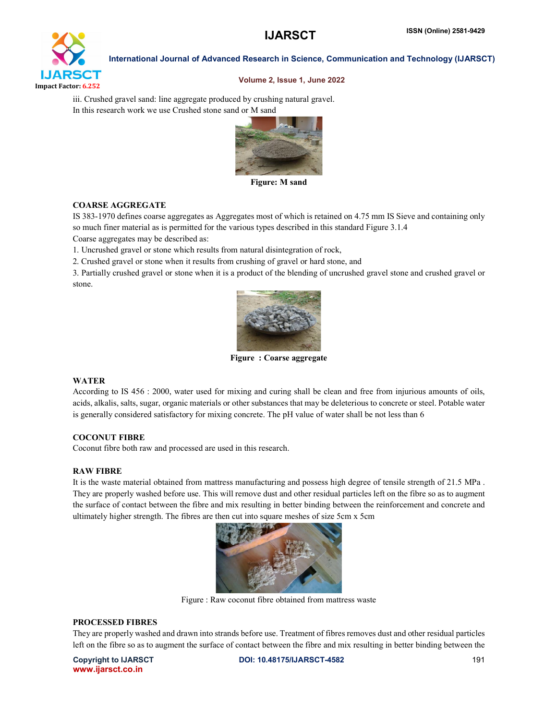

#### Volume 2, Issue 1, June 2022

iii. Crushed gravel sand: line aggregate produced by crushing natural gravel. In this research work we use Crushed stone sand or M sand



Figure: M sand

#### COARSE AGGREGATE

IS 383-1970 defines coarse aggregates as Aggregates most of which is retained on 4.75 mm IS Sieve and containing only so much finer material as is permitted for the various types described in this standard Figure 3.1.4

Coarse aggregates may be described as:

1. Uncrushed gravel or stone which results from natural disintegration of rock,

2. Crushed gravel or stone when it results from crushing of gravel or hard stone, and

3. Partially crushed gravel or stone when it is a product of the blending of uncrushed gravel stone and crushed gravel or stone.



Figure : Coarse aggregate

#### WATER

According to IS 456 : 2000, water used for mixing and curing shall be clean and free from injurious amounts of oils, acids, alkalis, salts, sugar, organic materials or other substances that may be deleterious to concrete or steel. Potable water is generally considered satisfactory for mixing concrete. The pH value of water shall be not less than 6

#### COCONUT FIBRE

Coconut fibre both raw and processed are used in this research.

#### RAW FIBRE

It is the waste material obtained from mattress manufacturing and possess high degree of tensile strength of 21.5 MPa . They are properly washed before use. This will remove dust and other residual particles left on the fibre so as to augment the surface of contact between the fibre and mix resulting in better binding between the reinforcement and concrete and ultimately higher strength. The fibres are then cut into square meshes of size 5cm x 5cm



Figure : Raw coconut fibre obtained from mattress waste

#### PROCESSED FIBRES

They are properly washed and drawn into strands before use. Treatment of fibres removes dust and other residual particles left on the fibre so as to augment the surface of contact between the fibre and mix resulting in better binding between the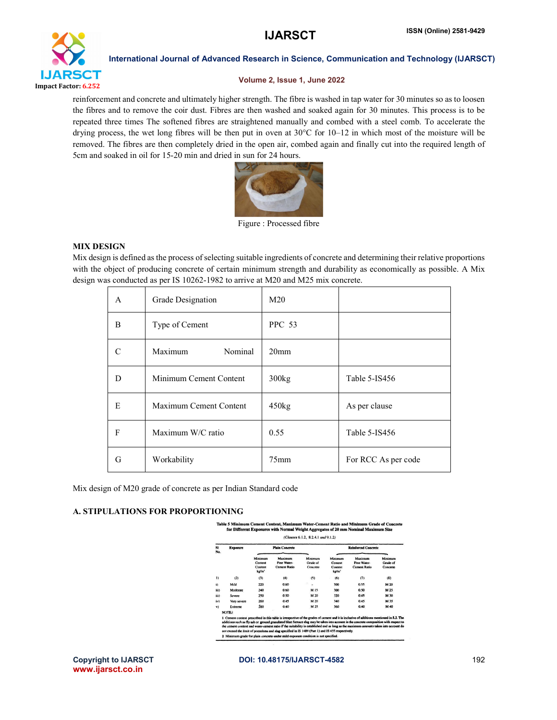

#### Volume 2, Issue 1, June 2022

reinforcement and concrete and ultimately higher strength. The fibre is washed in tap water for 30 minutes so as to loosen the fibres and to remove the coir dust. Fibres are then washed and soaked again for 30 minutes. This process is to be repeated three times The softened fibres are straightened manually and combed with a steel comb. To accelerate the drying process, the wet long fibres will be then put in oven at 30°C for 10–12 in which most of the moisture will be removed. The fibres are then completely dried in the open air, combed again and finally cut into the required length of 5cm and soaked in oil for 15-20 min and dried in sun for 24 hours.



Figure : Processed fibre

#### MIX DESIGN

Mix design is defined as the process of selecting suitable ingredients of concrete and determining their relative proportions with the object of producing concrete of certain minimum strength and durability as economically as possible. A Mix design was conducted as per IS 10262-1982 to arrive at M20 and M25 mix concrete.

| $\mathsf{A}$ | Grade Designation      | M <sub>20</sub>  |                     |
|--------------|------------------------|------------------|---------------------|
| B            | Type of Cement         | <b>PPC 53</b>    |                     |
| C            | Maximum<br>Nominal     | 20 <sub>mm</sub> |                     |
| D            | Minimum Cement Content | 300kg            | Table 5-IS456       |
| E            | Maximum Cement Content | 450kg            | As per clause       |
| F            | Maximum W/C ratio      | 0.55             | Table 5-IS456       |
| G            | Workability            | 75 <sub>mm</sub> | For RCC As per code |

Mix design of M20 grade of concrete as per Indian Standard code

#### A. STIPULATIONS FOR PROPORTIONING

Table 5 Minimum Cement Content, Maximum Water-Cement Ratio and Minimum Grade of Concrete for Different Exposures with Normal Weight Aggregates of 20 mm Nominal Maxin

| SI<br>No.    | <b>Exposure</b> |                                       | <b>Plain Concrete</b>                                                                                                                                                                                                                                                                                                                                                                                                                                                                                                            |                                 |                                       | <b>Reinforced Concrete</b>                    |                                 |
|--------------|-----------------|---------------------------------------|----------------------------------------------------------------------------------------------------------------------------------------------------------------------------------------------------------------------------------------------------------------------------------------------------------------------------------------------------------------------------------------------------------------------------------------------------------------------------------------------------------------------------------|---------------------------------|---------------------------------------|-----------------------------------------------|---------------------------------|
|              |                 | Minimum<br>Cement<br>Content<br>kg/m' | Maximum<br>Free Water-<br><b>Cement Ratio</b>                                                                                                                                                                                                                                                                                                                                                                                                                                                                                    | Minimum<br>Grade of<br>Concrete | Minimum<br>Cement<br>Content<br>kg/m' | Maximum<br>Free Water-<br><b>Cement Ratio</b> | Minimum<br>Grade of<br>Concrete |
| Ð            | (2)             | (3)                                   | (4)                                                                                                                                                                                                                                                                                                                                                                                                                                                                                                                              | (5)                             | (6)                                   | (7)                                           | (8)                             |
| $\mathbf{i}$ | Mild            | 220                                   | 0.60                                                                                                                                                                                                                                                                                                                                                                                                                                                                                                                             | ٠                               | 300                                   | 0.55                                          | M 20                            |
| iii)         | Moderate        | 240                                   | 0.60                                                                                                                                                                                                                                                                                                                                                                                                                                                                                                                             | M <sub>15</sub>                 | 300                                   | 0.50                                          | M <sub>25</sub>                 |
| iii)         | Severe          | 250                                   | 0.50                                                                                                                                                                                                                                                                                                                                                                                                                                                                                                                             | M 20                            | 320                                   | 0.45                                          | M 30                            |
| iv)          | Very severe     | 260                                   | 0.45                                                                                                                                                                                                                                                                                                                                                                                                                                                                                                                             | M 20                            | 340                                   | 0.45                                          | M 35                            |
| v)           | Extreme         | 280                                   | 0.40                                                                                                                                                                                                                                                                                                                                                                                                                                                                                                                             | M 25                            | 360                                   | 0.40                                          | M 40                            |
|              | <b>NOTE3</b>    |                                       |                                                                                                                                                                                                                                                                                                                                                                                                                                                                                                                                  |                                 |                                       |                                               |                                 |
|              |                 |                                       | 1 Cement content prescribed in this table is irrespective of the grades of cement and it is inclusive of additions mentioned in 5.2. The<br>additions such as fly ash or ground granulated blast furnace slag may be taken into account in the concrete composition with respect to<br>the cement content and water-cement ratio if the suitability is established and as long as the maximum amounts taken into account do<br>not exceed the limit of pozzolona and slag specified in IS 1489 (Part 1) and IS 455 respectively. |                                 |                                       |                                               |                                 |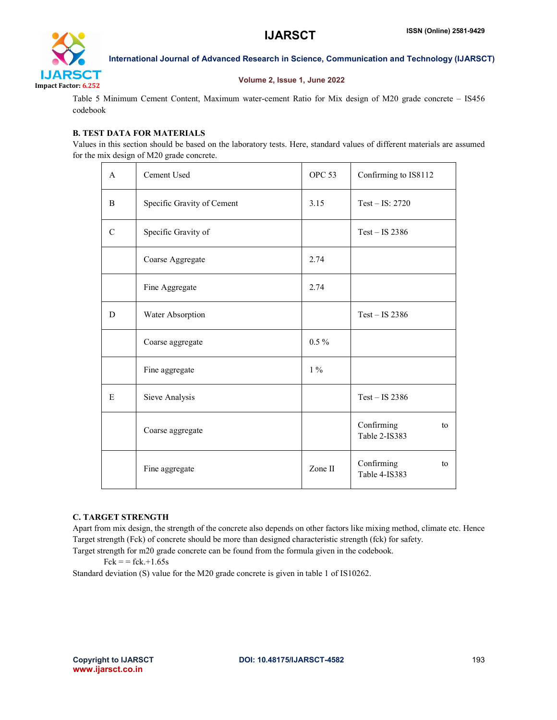

#### Volume 2, Issue 1, June 2022

Table 5 Minimum Cement Content, Maximum water-cement Ratio for Mix design of M20 grade concrete – IS456 codebook

### B. TEST DATA FOR MATERIALS

Values in this section should be based on the laboratory tests. Here, standard values of different materials are assumed for the mix design of M20 grade concrete.

| $\mathsf{A}$  | Cement Used                | OPC <sub>53</sub> | Confirming to IS8112              |
|---------------|----------------------------|-------------------|-----------------------------------|
| B             | Specific Gravity of Cement | 3.15              | Test $-$ IS: 2720                 |
| $\mathcal{C}$ | Specific Gravity of        |                   | $Test - IS$ 2386                  |
|               | Coarse Aggregate           | 2.74              |                                   |
|               | Fine Aggregate             | 2.74              |                                   |
| D             | Water Absorption           |                   | $Test - IS$ 2386                  |
|               | Coarse aggregate           | $0.5\%$           |                                   |
|               | Fine aggregate             | $1\%$             |                                   |
| E             | Sieve Analysis             |                   | $Test - IS$ 2386                  |
|               | Coarse aggregate           |                   | Confirming<br>to<br>Table 2-IS383 |
|               | Fine aggregate             | Zone II           | Confirming<br>to<br>Table 4-IS383 |

#### C. TARGET STRENGTH

Apart from mix design, the strength of the concrete also depends on other factors like mixing method, climate etc. Hence Target strength (Fck) of concrete should be more than designed characteristic strength (fck) for safety. Target strength for m20 grade concrete can be found from the formula given in the codebook.

 $Fck = fck + 1.65s$ 

Standard deviation (S) value for the M20 grade concrete is given in table 1 of IS10262.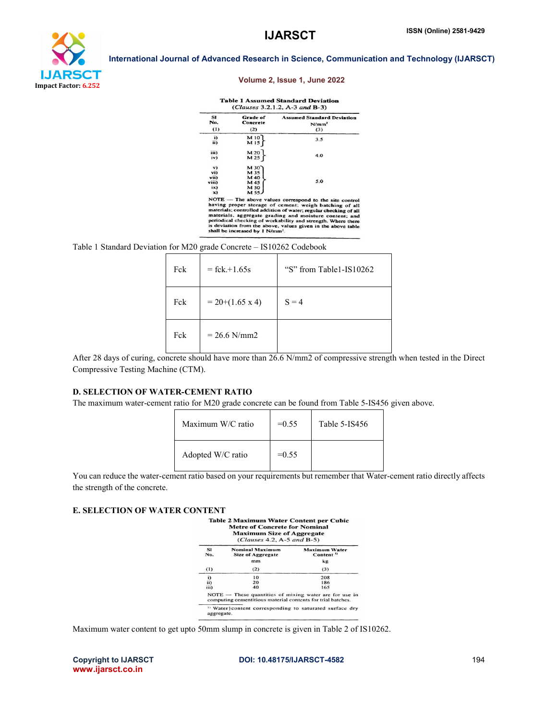

#### Volume 2, Issue 1, June 2022

#### **Table 1 Assumed Standard Deviation**

| <b>SI</b><br>No. | <b>Grade of</b><br>Concrete | <b>Assumed Standard Deviation</b><br>N/mm <sup>2</sup> |
|------------------|-----------------------------|--------------------------------------------------------|
| (1)              | (2)                         | (3)                                                    |
| i)               | M10                         | 3.5                                                    |
| ii)              | M <sub>15</sub>             |                                                        |
| iii)             | M 20                        |                                                        |
| iv)              | M 25                        | 4.0                                                    |
| $\mathbf{v}$     | $M$ 30                      |                                                        |
| vi)              | M 35                        |                                                        |
| vii)             | M 40                        |                                                        |
| viii)            | M 45                        | 5.0                                                    |
| ix)              | M 50                        |                                                        |
| x)               | <b>M 55J</b>                |                                                        |

materials; controlled addition of water; regular checking of all<br>materials, aggregate grading and moisture content; and<br>periodical checking of workability and strength. Where there<br>is deviation from the above, values given

Table 1 Standard Deviation for M20 grade Concrete – IS10262 Codebook

| Fck | $=$ fck.+1.65s         | "S" from Table1-IS10262 |
|-----|------------------------|-------------------------|
| Fck | $= 20+(1.65 \times 4)$ | $S = 4$                 |
| Fck | $= 26.6$ N/mm2         |                         |

After 28 days of curing, concrete should have more than 26.6 N/mm2 of compressive strength when tested in the Direct Compressive Testing Machine (CTM).

#### D. SELECTION OF WATER-CEMENT RATIO

The maximum water-cement ratio for M20 grade concrete can be found from Table 5-IS456 given above.

| Maximum W/C ratio | $=0.55$ | Table 5-IS456 |
|-------------------|---------|---------------|
| Adopted W/C ratio | $=0.55$ |               |

You can reduce the water-cement ratio based on your requirements but remember that Water-cement ratio directly affects the strength of the concrete.

#### E. SELECTION OF WATER CONTENT

|                  | <b>Maximum Size of Aggregate</b><br>$(Clauses 4.2, A-5 and B-5)$                                                        |                                               |
|------------------|-------------------------------------------------------------------------------------------------------------------------|-----------------------------------------------|
| <b>SI</b><br>No. | Nominal Maximum<br>Size of Aggregate                                                                                    | <b>Maximum Water</b><br>Content <sup>1)</sup> |
|                  | mm                                                                                                                      | kg                                            |
| (1)              | (2)                                                                                                                     | (3)                                           |
| i)               | 10                                                                                                                      | 208                                           |
| ii)              | 20                                                                                                                      | 186                                           |
| iii)             | 40                                                                                                                      | 165                                           |
|                  | $NOTE$ - These quantities of mixing water are for use in<br>computing cementitious material contents for trial batches. |                                               |

Maximum water content to get upto 50mm slump in concrete is given in Table 2 of IS10262.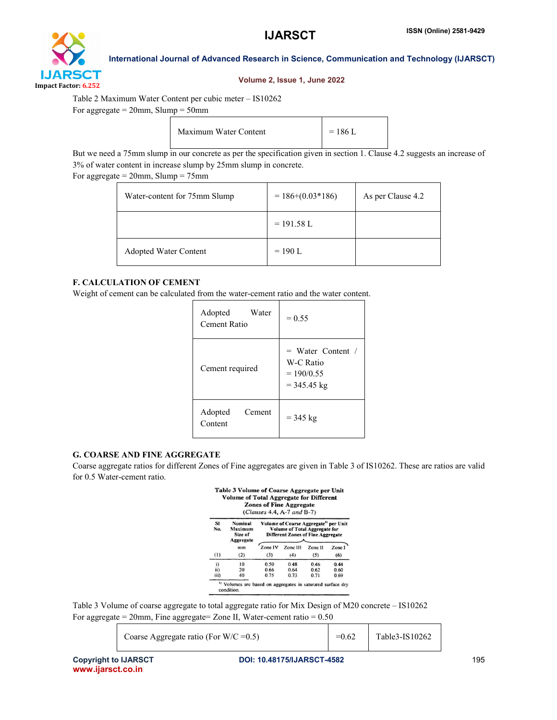

#### Volume 2, Issue 1, June 2022

Table 2 Maximum Water Content per cubic meter – IS10262

For aggregate  $= 20$ mm, Slump  $= 50$ mm

| Maximum Water Content | $= 186$ L |
|-----------------------|-----------|
|-----------------------|-----------|

But we need a 75mm slump in our concrete as per the specification given in section 1. Clause 4.2 suggests an increase of 3% of water content in increase slump by 25mm slump in concrete.

For aggregate  $= 20$ mm, Slump  $= 75$ mm

| Water-content for 75mm Slump | $= 186+(0.03*186)$ | As per Clause 4.2 |
|------------------------------|--------------------|-------------------|
|                              | $= 191.58$ L       |                   |
| Adopted Water Content        | $= 190$ L          |                   |

#### F. CALCULATION OF CEMENT

Weight of cement can be calculated from the water-cement ratio and the water content.

| Water<br>Adopted<br>Cement Ratio | $= 0.55$                                                          |  |
|----------------------------------|-------------------------------------------------------------------|--|
| Cement required                  | $=$ Water Content /<br>W-C Ratio<br>$= 190/0.55$<br>$=$ 345.45 kg |  |
| Adopted<br>Cement<br>Content     | $= 345$ kg                                                        |  |

### G. COARSE AND FINE AGGREGATE

Coarse aggregate ratios for different Zones of Fine aggregates are given in Table 3 of IS10262. These are ratios are valid for 0.5 Water-cement ratio.

Table 3 Volume of Coarse Aggregate per Unit

|           |                                            | <b>Zones of Fine Aggregate</b><br>$(Clauses 4.4, A-7 and B-7)$                                                                 |          |         |        |
|-----------|--------------------------------------------|--------------------------------------------------------------------------------------------------------------------------------|----------|---------|--------|
| SI<br>No. | Nominal<br>Maximum<br>Size of<br>Aggregate | Volume of Coarse Aggregate <sup>19</sup> per Unit<br>Volume of Total Aggregate for<br><b>Different Zones of Fine Aggregate</b> |          |         |        |
|           | mm                                         | Zone IV                                                                                                                        | Zone III | Zone II | Zone 1 |
|           | (2)                                        | (3)                                                                                                                            | (4)      | (5)     | (6)    |
| (1)       |                                            |                                                                                                                                |          |         |        |
| i)        | 10                                         | 0.50                                                                                                                           | 0.48     | 0.46    | 0.44   |
| ii)       | 20                                         | 0.66                                                                                                                           | 0.64     | 0.62    | 0.60   |

Table 3 Volume of coarse aggregate to total aggregate ratio for Mix Design of M20 concrete – IS10262 For aggregate =  $20$ mm, Fine aggregate =  $Z$ one II, Water-cement ratio =  $0.50$ 

Coarse Aggregate ratio (For W/C = 0.5)  $=0.62$  Table 3-IS10262

| Table3-IS10262 |
|----------------|
|                |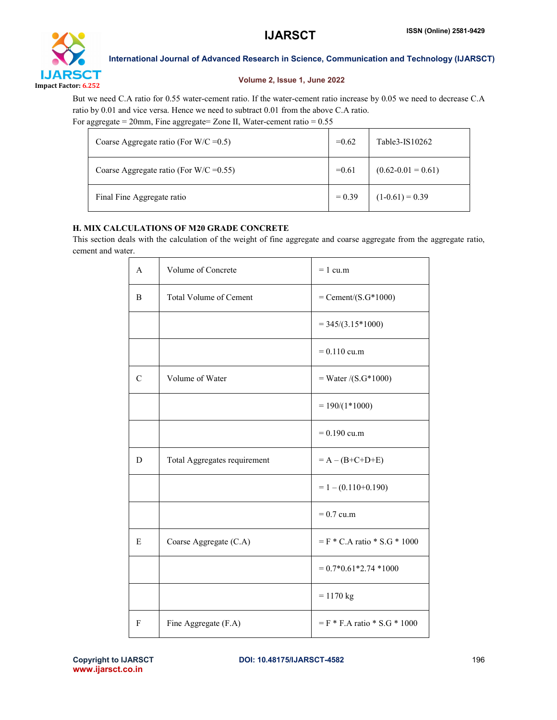

#### Volume 2, Issue 1, June 2022

But we need C.A ratio for 0.55 water-cement ratio. If the water-cement ratio increase by 0.05 we need to decrease C.A ratio by 0.01 and vice versa. Hence we need to subtract 0.01 from the above C.A ratio. For aggregate =  $20$ mm, Fine aggregate =  $Z$ one II, Water-cement ratio =  $0.55$ 

| Coarse Aggregate ratio (For $W/C = 0.5$ )  | $=0.62$  | Table3-IS10262         |
|--------------------------------------------|----------|------------------------|
| Coarse Aggregate ratio (For W/C = $0.55$ ) | $=0.61$  | $(0.62 - 0.01 = 0.61)$ |
| Final Fine Aggregate ratio                 | $= 0.39$ | $(1-0.61) = 0.39$      |

### H. MIX CALCULATIONS OF M20 GRADE CONCRETE

This section deals with the calculation of the weight of fine aggregate and coarse aggregate from the aggregate ratio, cement and water.

| A             | Volume of Concrete            | $= 1$ cu.m                           |  |
|---------------|-------------------------------|--------------------------------------|--|
| B             | <b>Total Volume of Cement</b> | $=$ Cement/ $(S.G*1000)$             |  |
|               |                               | $= 345/(3.15*1000)$                  |  |
|               |                               | $= 0.110$ cu.m                       |  |
| $\mathcal{C}$ | Volume of Water               | $=$ Water /(S.G*1000)                |  |
|               |                               | $= 190/(1*1000)$                     |  |
|               |                               | $= 0.190$ cu.m                       |  |
| D             | Total Aggregates requirement  | $= A - (B + C + D + E)$              |  |
|               |                               | $= 1 - (0.110 + 0.190)$              |  |
|               |                               | $= 0.7$ cu.m                         |  |
| E             | Coarse Aggregate (C.A)        | $=$ F $*$ C.A ratio $*$ S.G $*$ 1000 |  |
|               |                               | $= 0.7*0.61*2.74*1000$               |  |
|               |                               | $= 1170$ kg                          |  |
| F             | Fine Aggregate (F.A)          | $=$ F $*$ F.A ratio $*$ S.G $*$ 1000 |  |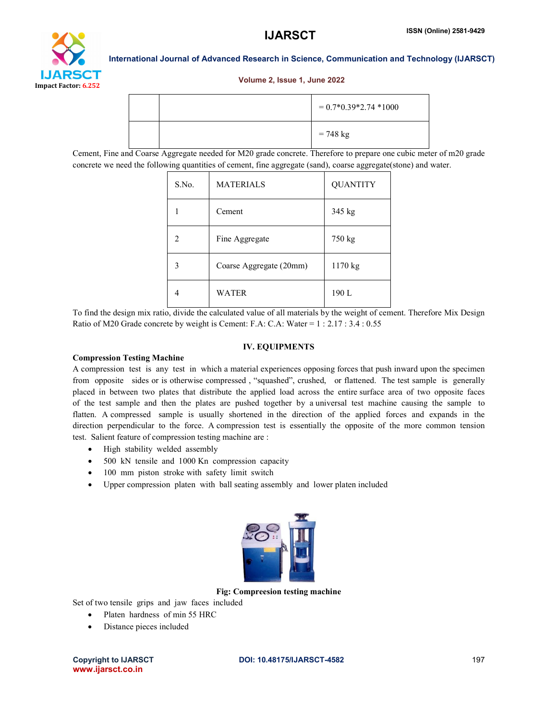

### Volume 2, Issue 1, June 2022

|  | $= 0.7*0.39*2.74*1000$ |
|--|------------------------|
|  | $= 748 \text{ kg}$     |

Cement, Fine and Coarse Aggregate needed for M20 grade concrete. Therefore to prepare one cubic meter of m20 grade concrete we need the following quantities of cement, fine aggregate (sand), coarse aggregate(stone) and water.

| S.No.         | <b>MATERIALS</b>        | <b>QUANTITY</b> |
|---------------|-------------------------|-----------------|
|               | Cement                  | 345 kg          |
| $\mathcal{L}$ | Fine Aggregate          | 750 kg          |
| 3             | Coarse Aggregate (20mm) | 1170 kg         |
|               | WATER                   | 190L            |

To find the design mix ratio, divide the calculated value of all materials by the weight of cement. Therefore Mix Design Ratio of M20 Grade concrete by weight is Cement: F.A: C.A: Water = 1 : 2.17 : 3.4 : 0.55

#### IV. EQUIPMENTS

#### Compression Testing Machine

A compression test is any test in which a material experiences opposing forces that push inward upon the specimen from opposite sides or is otherwise compressed , "squashed", crushed, or flattened. The test sample is generally placed in between two plates that distribute the applied load across the entire surface area of two opposite faces of the test sample and then the plates are pushed together by a universal test machine causing the sample to flatten. A compressed sample is usually shortened in the direction of the applied forces and expands in the direction perpendicular to the force. A compression test is essentially the opposite of the more common tension test. Salient feature of compression testing machine are :

- High stability welded assembly
- 500 kN tensile and 1000 Kn compression capacity
- 100 mm piston stroke with safety limit switch
- Upper compression platen with ball seating assembly and lower platen included



Fig: Compreesion testing machine

Set of two tensile grips and jaw faces included

- Platen hardness of min 55 HRC
- Distance pieces included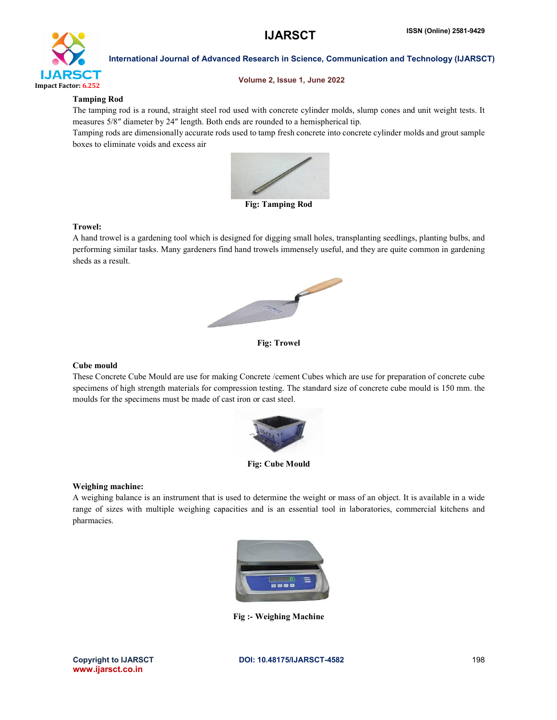

#### Volume 2, Issue 1, June 2022

#### Tamping Rod

The tamping rod is a round, straight steel rod used with concrete cylinder molds, slump cones and unit weight tests. It measures 5/8″ diameter by 24″ length. Both ends are rounded to a hemispherical tip.

Tamping rods are dimensionally accurate rods used to tamp fresh concrete into concrete cylinder molds and grout sample boxes to eliminate voids and excess air



Fig: Tamping Rod

#### Trowel:

A hand trowel is a gardening tool which is designed for digging small holes, transplanting seedlings, planting bulbs, and performing similar tasks. Many gardeners find hand trowels immensely useful, and they are quite common in gardening sheds as a result.



Fig: Trowel

#### Cube mould

These Concrete Cube Mould are use for making Concrete /cement Cubes which are use for preparation of concrete cube specimens of high strength materials for compression testing. The standard size of concrete cube mould is 150 mm. the moulds for the specimens must be made of cast iron or cast steel.



Fig: Cube Mould

#### Weighing machine:

A weighing balance is an instrument that is used to determine the weight or mass of an object. It is available in a wide range of sizes with multiple weighing capacities and is an essential tool in laboratories, commercial kitchens and pharmacies.



Fig :- Weighing Machine

www.ijarsct.co.in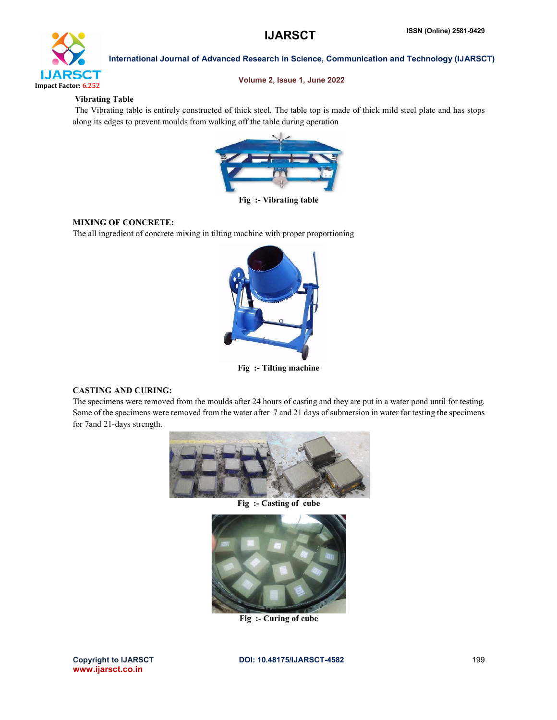

Volume 2, Issue 1, June 2022

#### Vibrating Table

The Vibrating table is entirely constructed of thick steel. The table top is made of thick mild steel plate and has stops along its edges to prevent moulds from walking off the table during operation



Fig :- Vibrating table

### MIXING OF CONCRETE:

The all ingredient of concrete mixing in tilting machine with proper proportioning



Fig :- Tilting machine

### CASTING AND CURING:

The specimens were removed from the moulds after 24 hours of casting and they are put in a water pond until for testing. Some of the specimens were removed from the water after 7 and 21 days of submersion in water for testing the specimens for 7and 21-days strength.



Fig :- Casting of cube



Fig :- Curing of cube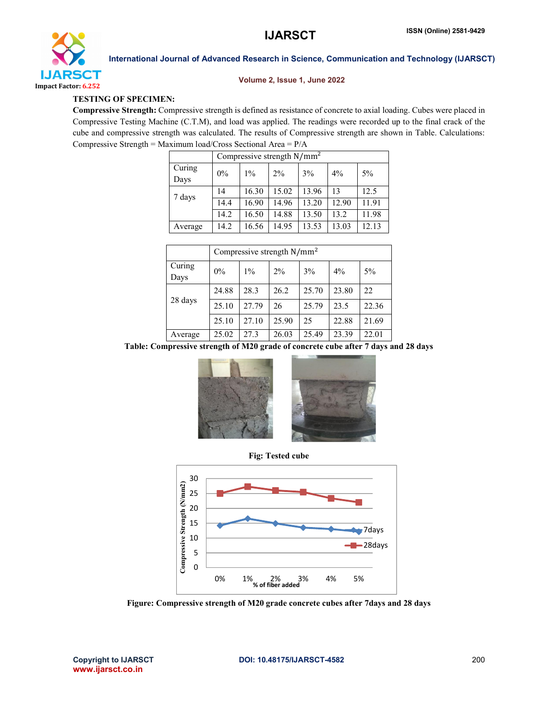

#### Volume 2, Issue 1, June 2022

#### TESTING OF SPECIMEN:

Compressive Strength: Compressive strength is defined as resistance of concrete to axial loading. Cubes were placed in Compressive Testing Machine (C.T.M), and load was applied. The readings were recorded up to the final crack of the cube and compressive strength was calculated. The results of Compressive strength are shown in Table. Calculations: Compressive Strength = Maximum load/Cross Sectional Area = P/A

|                | Compressive strength $N/mm^2$ |       |       |       |       |       |
|----------------|-------------------------------|-------|-------|-------|-------|-------|
| Curing<br>Days | $0\%$                         | $1\%$ | $2\%$ | 3%    | $4\%$ | $5\%$ |
|                | 14                            | 16.30 | 15.02 | 13.96 | 13    | 12.5  |
| 7 days         | 14.4                          | 16.90 | 14.96 | 13.20 | 12.90 | 11.91 |
|                | 14.2                          | 16.50 | 14.88 | 13.50 | 13.2  | 11.98 |
| Average        | 14.2                          | 16.56 | 14.95 | 13.53 | 13.03 | 12.13 |

|                | Compressive strength $N/mm^2$ |       |       |       |       |       |
|----------------|-------------------------------|-------|-------|-------|-------|-------|
| Curing<br>Days | $0\%$                         | $1\%$ | $2\%$ | 3%    | $4\%$ | 5%    |
| 28 days        | 24.88                         | 28.3  | 26.2  | 25.70 | 23.80 | 22    |
|                | 25.10                         | 27.79 | 26    | 25.79 | 23.5  | 22.36 |
|                | 25.10                         | 27.10 | 25.90 | 25    | 22.88 | 21.69 |
| Average        | 25.02                         | 27.3  | 26.03 | 25.49 | 23.39 | 22.01 |

Table: Compressive strength of M20 grade of concrete cube after 7 days and 28 days







Figure: Compressive strength of M20 grade concrete cubes after 7days and 28 days

www.ijarsct.co.in